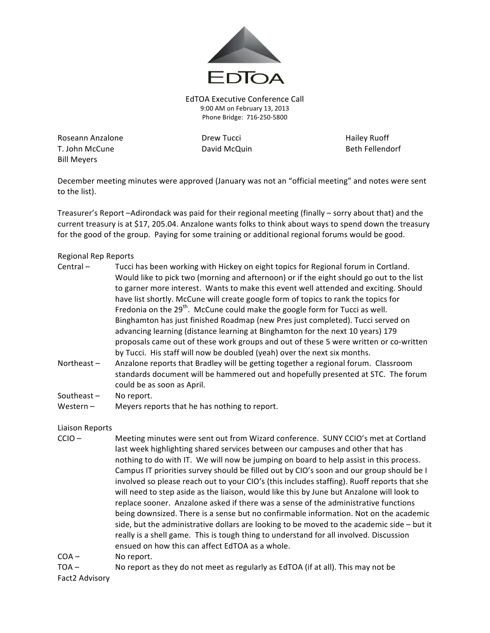

EdTOA Executive Conference Call 9:00 AM on February 13, 2013 Phone Bridge: 716-250-5800

Roseann Anzalone **Drew Tucci Container Base** Drew Tucci **Hailey Ruoff** T. John McCune **David McQuin** David McQuin Beth Fellendorf **Bill Meyers** 

December meeting minutes were approved (January was not an "official meeting" and notes were sent to the list).

Treasurer's Report –Adirondack was paid for their regional meeting (finally – sorry about that) and the current treasury is at \$17, 205.04. Anzalone wants folks to think about ways to spend down the treasury for the good of the group. Paying for some training or additional regional forums would be good.

## Regional Rep Reports

- Central Tucci has been working with Hickey on eight topics for Regional forum in Cortland. Would like to pick two (morning and afternoon) or if the eight should go out to the list to garner more interest. Wants to make this event well attended and exciting. Should have list shortly. McCune will create google form of topics to rank the topics for Fredonia on the  $29<sup>th</sup>$ . McCune could make the google form for Tucci as well. Binghamton has just finished Roadmap (new Pres just completed). Tucci served on advancing learning (distance learning at Binghamton for the next 10 years) 179 proposals came out of these work groups and out of these 5 were written or co-written by Tucci. His staff will now be doubled (yeah) over the next six months.
- Northeast Anzalone reports that Bradley will be getting together a regional forum. Classroom standards document will be hammered out and hopefully presented at STC. The forum could be as soon as April.

Southeast  $-$  No report.

Western  $-$  Meyers reports that he has nothing to report.

## Liaison Reports

- CCIO Meeting minutes were sent out from Wizard conference. SUNY CCIO's met at Cortland last week highlighting shared services between our campuses and other that has nothing to do with IT. We will now be jumping on board to help assist in this process. Campus IT priorities survey should be filled out by CIO's soon and our group should be I involved so please reach out to your CIO's (this includes staffing). Ruoff reports that she will need to step aside as the liaison, would like this by June but Anzalone will look to replace sooner. Anzalone asked if there was a sense of the administrative functions being downsized. There is a sense but no confirmable information. Not on the academic side, but the administrative dollars are looking to be moved to the academic side  $-$  but it really is a shell game. This is tough thing to understand for all involved. Discussion ensued on how this can affect EdTOA as a whole.
- COA No report.
- TOA No report as they do not meet as regularly as EdTOA (if at all). This may not be

Fact2 Advisory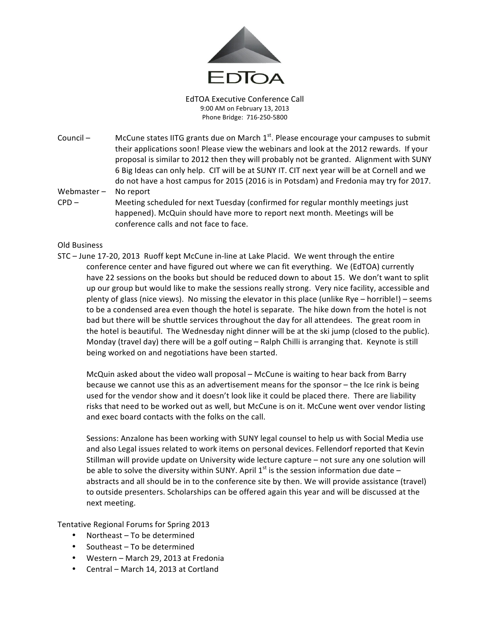

EdTOA Executive Conference Call 9:00 AM on February 13, 2013 Phone Bridge: 716-250-5800

- Council McCune states IITG grants due on March  $1<sup>st</sup>$ . Please encourage your campuses to submit their applications soon! Please view the webinars and look at the 2012 rewards. If your proposal is similar to 2012 then they will probably not be granted. Alignment with SUNY 6 Big Ideas can only help. CIT will be at SUNY IT. CIT next year will be at Cornell and we do not have a host campus for 2015 (2016 is in Potsdam) and Fredonia may try for 2017.
- Webmaster  $-$  No report
- $CPD -$  Meeting scheduled for next Tuesday (confirmed for regular monthly meetings just happened). McQuin should have more to report next month. Meetings will be conference calls and not face to face.

## Old Business

STC – June 17-20, 2013 Ruoff kept McCune in-line at Lake Placid. We went through the entire conference center and have figured out where we can fit everything. We (EdTOA) currently have 22 sessions on the books but should be reduced down to about 15. We don't want to split up our group but would like to make the sessions really strong. Very nice facility, accessible and plenty of glass (nice views). No missing the elevator in this place (unlike Rye – horrible!) – seems to be a condensed area even though the hotel is separate. The hike down from the hotel is not bad but there will be shuttle services throughout the day for all attendees. The great room in the hotel is beautiful. The Wednesday night dinner will be at the ski jump (closed to the public). Monday (travel day) there will be a golf outing - Ralph Chilli is arranging that. Keynote is still being worked on and negotiations have been started.

McQuin asked about the video wall proposal – McCune is waiting to hear back from Barry because we cannot use this as an advertisement means for the sponsor – the Ice rink is being used for the vendor show and it doesn't look like it could be placed there. There are liability risks that need to be worked out as well, but McCune is on it. McCune went over vendor listing and exec board contacts with the folks on the call.

Sessions: Anzalone has been working with SUNY legal counsel to help us with Social Media use and also Legal issues related to work items on personal devices. Fellendorf reported that Kevin Stillman will provide update on University wide lecture capture - not sure any one solution will be able to solve the diversity within SUNY. April  $1<sup>st</sup>$  is the session information due date – abstracts and all should be in to the conference site by then. We will provide assistance (travel) to outside presenters. Scholarships can be offered again this year and will be discussed at the next meeting.

Tentative Regional Forums for Spring 2013

- Northeast  $-$  To be determined
- Southeast  $-$  To be determined
- Western March 29, 2013 at Fredonia
- Central March 14, 2013 at Cortland